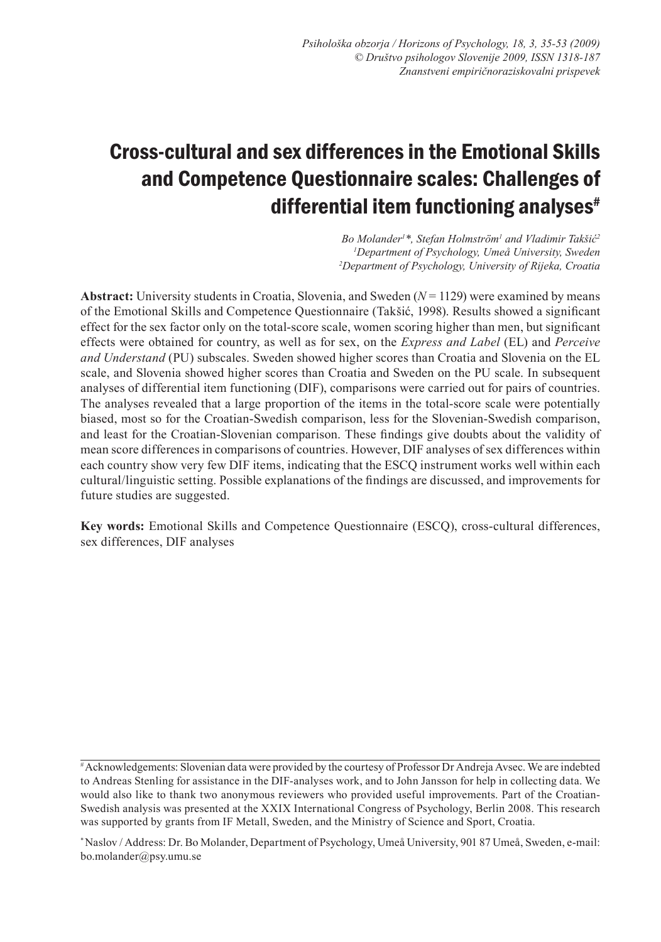# Cross-cultural and sex differences in the Emotional Skills and Competence Questionnaire scales: Challenges of differential item functioning analyses $*$

*Bo Molander1 \*, Stefan Holmström1 and Vladimir Takšić<sup>2</sup> 1 Department of Psychology, Umeå University, Sweden 2 Department of Psychology, University of Rijeka, Croatia*

**Abstract:** University students in Croatia, Slovenia, and Sweden  $(N = 1129)$  were examined by means of the Emotional Skills and Competence Questionnaire (Takšić, 1998). Results showed a significant effect for the sex factor only on the total-score scale, women scoring higher than men, but significant effects were obtained for country, as well as for sex, on the *Express and Label* (EL) and *Perceive and Understand* (PU) subscales. Sweden showed higher scores than Croatia and Slovenia on the EL scale, and Slovenia showed higher scores than Croatia and Sweden on the PU scale. In subsequent analyses of differential item functioning (DIF), comparisons were carried out for pairs of countries. The analyses revealed that a large proportion of the items in the total-score scale were potentially biased, most so for the Croatian-Swedish comparison, less for the Slovenian-Swedish comparison, and least for the Croatian-Slovenian comparison. These findings give doubts about the validity of mean score differences in comparisons of countries. However, DIF analyses of sex differences within each country show very few DIF items, indicating that the ESCQ instrument works well within each cultural/linguistic setting. Possible explanations of the findings are discussed, and improvements for future studies are suggested.

**Key words:** Emotional Skills and Competence Questionnaire (ESCQ), cross-cultural differences, sex differences, DIF analyses

<sup>#</sup> Acknowledgements: Slovenian data were provided by the courtesy of Professor Dr Andreja Avsec. We are indebted to Andreas Stenling for assistance in the DIF-analyses work, and to John Jansson for help in collecting data. We would also like to thank two anonymous reviewers who provided useful improvements. Part of the Croatian-Swedish analysis was presented at the XXIX International Congress of Psychology, Berlin 2008. This research was supported by grants from IF Metall, Sweden, and the Ministry of Science and Sport, Croatia.

<sup>\*</sup> Naslov / Address: Dr. Bo Molander, Department of Psychology, Umeå University, 901 87 Umeå, Sweden, e-mail: bo.molander@psy.umu.se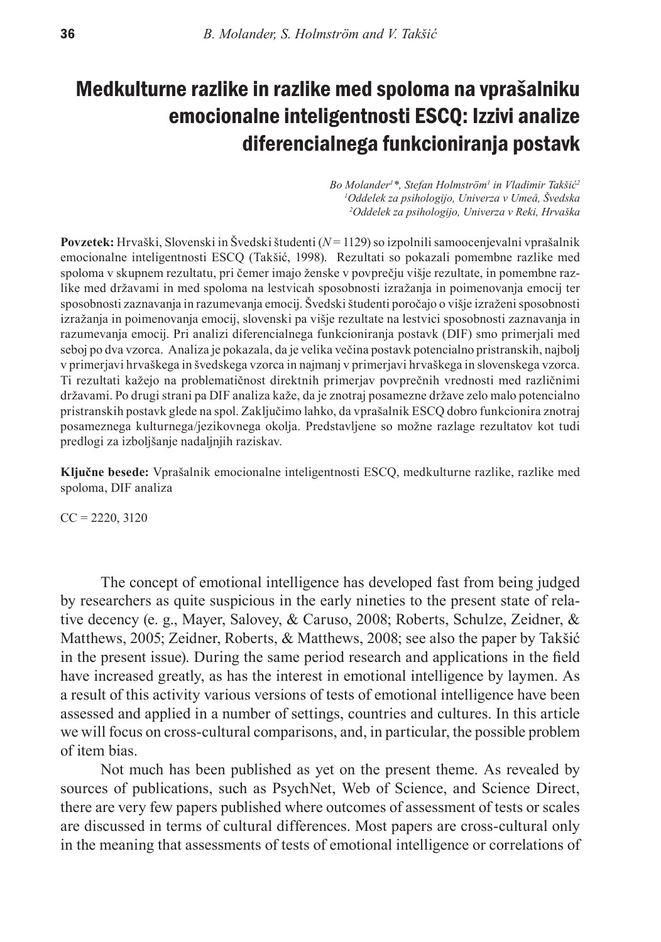# Medkulturne razlike in razlike med spoloma na vprašalniku emocionalne inteligentnosti ESCQ: Izzivi analize diferencialnega funkcioniranja postavk

*Bo Molander1 \*, Stefan Holmström1 in Vladimir Takšić<sup>2</sup> 1 Oddelek za psihologijo, Univerza v Umeå, Švedska 2 Oddelek za psihologijo, Univerza v Reki, Hrvaška*

**Povzetek:** Hrvaški, Slovenski in Švedski študenti (*N* = 1129) so izpolnili samoocenjevalni vprašalnik emocionalne inteligentnosti ESCQ (Takšić, 1998). Rezultati so pokazali pomembne razlike med spoloma v skupnem rezultatu, pri čemer imajo ženske v povprečju višje rezultate, in pomembne razlike med državami in med spoloma na lestvicah sposobnosti izražanja in poimenovanja emocij ter sposobnosti zaznavanja in razumevanja emocij. Švedski študenti poročajo o višje izraženi sposobnosti izražanja in poimenovanja emocij, slovenski pa višje rezultate na lestvici sposobnosti zaznavanja in razumevanja emocij. Pri analizi diferencialnega funkcioniranja postavk (DIF) smo primerjali med seboj po dva vzorca. Analiza je pokazala, da je velika večina postavk potencialno pristranskih, najbolj v primerjavi hrvaškega in švedskega vzorca in najmanj v primerjavi hrvaškega in slovenskega vzorca. Ti rezultati kažejo na problematičnost direktnih primerjav povprečnih vrednosti med različnimi državami. Po drugi strani pa DIF analiza kaže, da je znotraj posamezne države zelo malo potencialno pristranskih postavk glede na spol. Zaključimo lahko, da vprašalnik ESCQ dobro funkcionira znotraj posameznega kulturnega/jezikovnega okolja. Predstavljene so možne razlage rezultatov kot tudi predlogi za izboljšanje nadaljnjih raziskav.

**Ključne besede:** Vprašalnik emocionalne inteligentnosti ESCQ, medkulturne razlike, razlike med spoloma, DIF analiza

 $CC = 2220, 3120$ 

The concept of emotional intelligence has developed fast from being judged by researchers as quite suspicious in the early nineties to the present state of relative decency (e. g., Mayer, Salovey, & Caruso, 2008; Roberts, Schulze, Zeidner, & Matthews, 2005; Zeidner, Roberts, & Matthews, 2008; see also the paper by Takšić in the present issue). During the same period research and applications in the field have increased greatly, as has the interest in emotional intelligence by laymen. As a result of this activity various versions of tests of emotional intelligence have been assessed and applied in a number of settings, countries and cultures. In this article we will focus on cross-cultural comparisons, and, in particular, the possible problem of item bias.

Not much has been published as yet on the present theme. As revealed by sources of publications, such as PsychNet, Web of Science, and Science Direct, there are very few papers published where outcomes of assessment of tests or scales are discussed in terms of cultural differences. Most papers are cross-cultural only in the meaning that assessments of tests of emotional intelligence or correlations of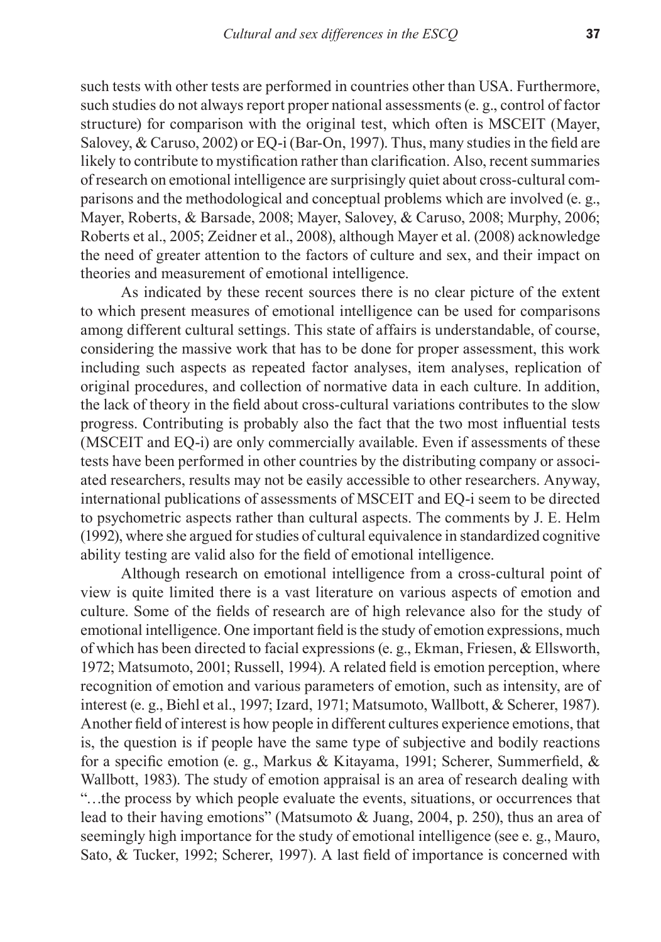such tests with other tests are performed in countries other than USA. Furthermore, such studies do not always report proper national assessments (e. g., control of factor structure) for comparison with the original test, which often is MSCEIT (Mayer, Salovey, & Caruso, 2002) or EQ-i (Bar-On, 1997). Thus, many studies in the field are likely to contribute to mystification rather than clarification. Also, recent summaries of research on emotional intelligence are surprisingly quiet about cross-cultural comparisons and the methodological and conceptual problems which are involved (e. g., Mayer, Roberts, & Barsade, 2008; Mayer, Salovey, & Caruso, 2008; Murphy, 2006; Roberts et al., 2005; Zeidner et al., 2008), although Mayer et al. (2008) acknowledge the need of greater attention to the factors of culture and sex, and their impact on theories and measurement of emotional intelligence.

As indicated by these recent sources there is no clear picture of the extent to which present measures of emotional intelligence can be used for comparisons among different cultural settings. This state of affairs is understandable, of course, considering the massive work that has to be done for proper assessment, this work including such aspects as repeated factor analyses, item analyses, replication of original procedures, and collection of normative data in each culture. In addition, the lack of theory in the field about cross-cultural variations contributes to the slow progress. Contributing is probably also the fact that the two most influential tests (MSCEIT and EQ-i) are only commercially available. Even if assessments of these tests have been performed in other countries by the distributing company or associated researchers, results may not be easily accessible to other researchers. Anyway, international publications of assessments of MSCEIT and EQ-i seem to be directed to psychometric aspects rather than cultural aspects. The comments by J. E. Helm (1992), where she argued for studies of cultural equivalence in standardized cognitive ability testing are valid also for the field of emotional intelligence.

Although research on emotional intelligence from a cross-cultural point of view is quite limited there is a vast literature on various aspects of emotion and culture. Some of the fields of research are of high relevance also for the study of emotional intelligence. One important field is the study of emotion expressions, much of which has been directed to facial expressions (e. g., Ekman, Friesen, & Ellsworth, 1972; Matsumoto, 2001; Russell, 1994). A related field is emotion perception, where recognition of emotion and various parameters of emotion, such as intensity, are of interest (e. g., Biehl et al., 1997; Izard, 1971; Matsumoto, Wallbott, & Scherer, 1987). Another field of interest is how people in different cultures experience emotions, that is, the question is if people have the same type of subjective and bodily reactions for a specific emotion (e. g., Markus & Kitayama, 1991; Scherer, Summerfield, & Wallbott, 1983). The study of emotion appraisal is an area of research dealing with "…the process by which people evaluate the events, situations, or occurrences that lead to their having emotions" (Matsumoto & Juang, 2004, p. 250), thus an area of seemingly high importance for the study of emotional intelligence (see e. g., Mauro, Sato, & Tucker, 1992; Scherer, 1997). A last field of importance is concerned with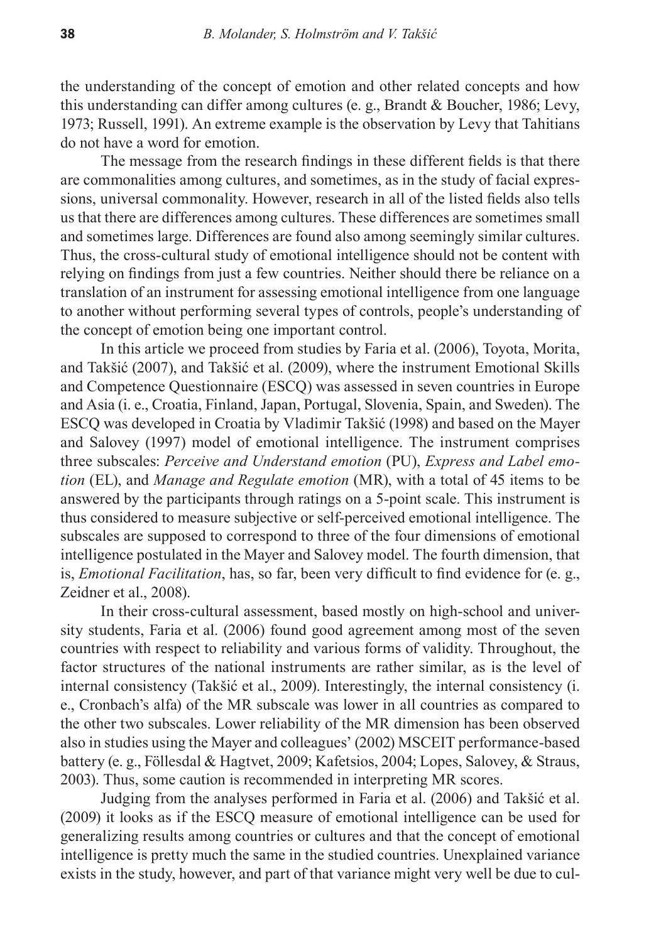the understanding of the concept of emotion and other related concepts and how this understanding can differ among cultures (e. g., Brandt & Boucher, 1986; Levy, 1973; Russell, 1991). An extreme example is the observation by Levy that Tahitians do not have a word for emotion.

The message from the research findings in these different fields is that there are commonalities among cultures, and sometimes, as in the study of facial expressions, universal commonality. However, research in all of the listed fields also tells us that there are differences among cultures. These differences are sometimes small and sometimes large. Differences are found also among seemingly similar cultures. Thus, the cross-cultural study of emotional intelligence should not be content with relying on findings from just a few countries. Neither should there be reliance on a translation of an instrument for assessing emotional intelligence from one language to another without performing several types of controls, people's understanding of the concept of emotion being one important control.

In this article we proceed from studies by Faria et al. (2006), Toyota, Morita, and Takšić (2007), and Takšić et al. (2009), where the instrument Emotional Skills and Competence Questionnaire (ESCQ) was assessed in seven countries in Europe and Asia (i. e., Croatia, Finland, Japan, Portugal, Slovenia, Spain, and Sweden). The ESCQ was developed in Croatia by Vladimir Takšić (1998) and based on the Mayer and Salovey (1997) model of emotional intelligence. The instrument comprises three subscales: *Perceive and Understand emotion* (PU), *Express and Label emotion* (EL), and *Manage and Regulate emotion* (MR), with a total of 45 items to be answered by the participants through ratings on a 5-point scale. This instrument is thus considered to measure subjective or self-perceived emotional intelligence. The subscales are supposed to correspond to three of the four dimensions of emotional intelligence postulated in the Mayer and Salovey model. The fourth dimension, that is, *Emotional Facilitation*, has, so far, been very difficult to find evidence for (e. g., Zeidner et al., 2008).

In their cross-cultural assessment, based mostly on high-school and university students, Faria et al. (2006) found good agreement among most of the seven countries with respect to reliability and various forms of validity. Throughout, the factor structures of the national instruments are rather similar, as is the level of internal consistency (Takšić et al., 2009). Interestingly, the internal consistency (i. e., Cronbach's alfa) of the MR subscale was lower in all countries as compared to the other two subscales. Lower reliability of the MR dimension has been observed also in studies using the Mayer and colleagues' (2002) MSCEIT performance-based battery (e. g., Föllesdal & Hagtvet, 2009; Kafetsios, 2004; Lopes, Salovey, & Straus, 2003). Thus, some caution is recommended in interpreting MR scores.

Judging from the analyses performed in Faria et al. (2006) and Takšić et al. (2009) it looks as if the ESCQ measure of emotional intelligence can be used for generalizing results among countries or cultures and that the concept of emotional intelligence is pretty much the same in the studied countries. Unexplained variance exists in the study, however, and part of that variance might very well be due to cul-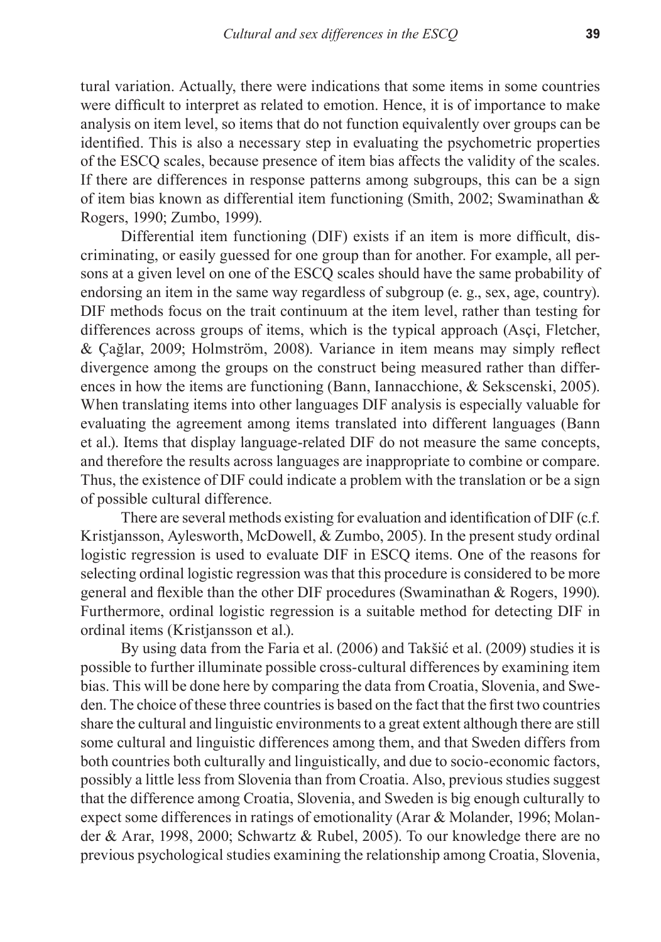tural variation. Actually, there were indications that some items in some countries were difficult to interpret as related to emotion. Hence, it is of importance to make analysis on item level, so items that do not function equivalently over groups can be identified. This is also a necessary step in evaluating the psychometric properties of the ESCQ scales, because presence of item bias affects the validity of the scales. If there are differences in response patterns among subgroups, this can be a sign of item bias known as differential item functioning (Smith, 2002; Swaminathan & Rogers, 1990; Zumbo, 1999).

Differential item functioning (DIF) exists if an item is more difficult, discriminating, or easily guessed for one group than for another. For example, all persons at a given level on one of the ESCQ scales should have the same probability of endorsing an item in the same way regardless of subgroup (e. g., sex, age, country). DIF methods focus on the trait continuum at the item level, rather than testing for differences across groups of items, which is the typical approach (Asçi, Fletcher, & Çağlar, 2009; Holmström, 2008). Variance in item means may simply reflect divergence among the groups on the construct being measured rather than differences in how the items are functioning (Bann, Iannacchione, & Sekscenski, 2005). When translating items into other languages DIF analysis is especially valuable for evaluating the agreement among items translated into different languages (Bann et al.). Items that display language-related DIF do not measure the same concepts, and therefore the results across languages are inappropriate to combine or compare. Thus, the existence of DIF could indicate a problem with the translation or be a sign of possible cultural difference.

There are several methods existing for evaluation and identification of DIF (c.f. Kristjansson, Aylesworth, McDowell, & Zumbo, 2005). In the present study ordinal logistic regression is used to evaluate DIF in ESCQ items. One of the reasons for selecting ordinal logistic regression was that this procedure is considered to be more general and flexible than the other DIF procedures (Swaminathan & Rogers, 1990). Furthermore, ordinal logistic regression is a suitable method for detecting DIF in ordinal items (Kristjansson et al.).

By using data from the Faria et al. (2006) and Takšić et al. (2009) studies it is possible to further illuminate possible cross-cultural differences by examining item bias. This will be done here by comparing the data from Croatia, Slovenia, and Sweden. The choice of these three countries is based on the fact that the first two countries share the cultural and linguistic environments to a great extent although there are still some cultural and linguistic differences among them, and that Sweden differs from both countries both culturally and linguistically, and due to socio-economic factors, possibly a little less from Slovenia than from Croatia. Also, previous studies suggest that the difference among Croatia, Slovenia, and Sweden is big enough culturally to expect some differences in ratings of emotionality (Arar & Molander, 1996; Molander & Arar, 1998, 2000; Schwartz & Rubel, 2005). To our knowledge there are no previous psychological studies examining the relationship among Croatia, Slovenia,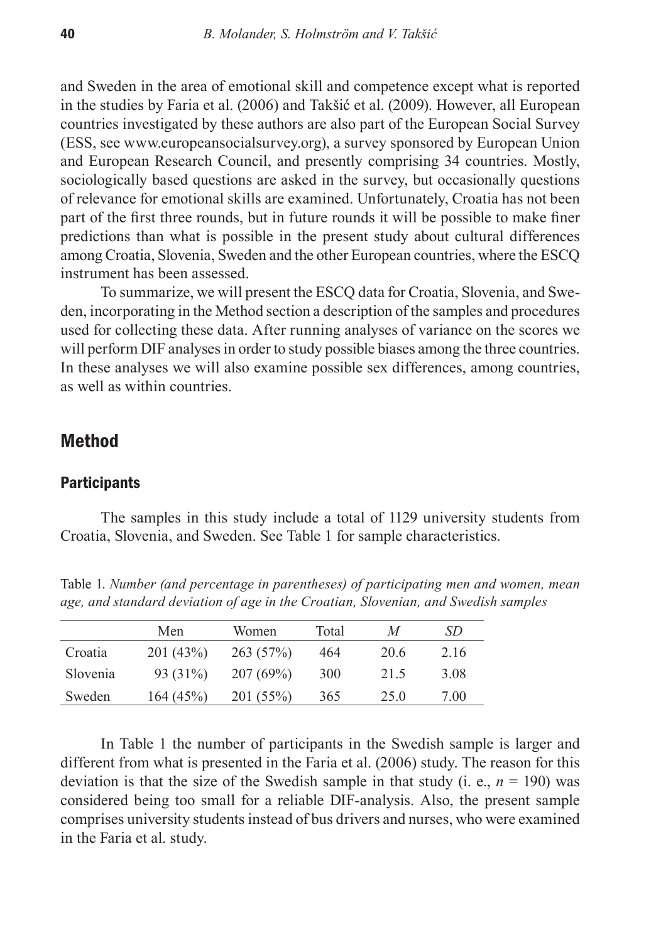and Sweden in the area of emotional skill and competence except what is reported in the studies by Faria et al. (2006) and Takšić et al. (2009). However, all European countries investigated by these authors are also part of the European Social Survey (ESS, see www.europeansocialsurvey.org), a survey sponsored by European Union and European Research Council, and presently comprising 34 countries. Mostly, sociologically based questions are asked in the survey, but occasionally questions of relevance for emotional skills are examined. Unfortunately, Croatia has not been part of the first three rounds, but in future rounds it will be possible to make finer predictions than what is possible in the present study about cultural differences among Croatia, Slovenia, Sweden and the other European countries, where the ESCQ instrument has been assessed.

To summarize, we will present the ESCQ data for Croatia, Slovenia, and Sweden, incorporating in the Method section a description of the samples and procedures used for collecting these data. After running analyses of variance on the scores we will perform DIF analyses in order to study possible biases among the three countries. In these analyses we will also examine possible sex differences, among countries, as well as within countries.

## Method

#### **Participants**

The samples in this study include a total of 1129 university students from Croatia, Slovenia, and Sweden. See Table 1 for sample characteristics.

Table 1. *Number (and percentage in parentheses) of participating men and women, mean age, and standard deviation of age in the Croatian, Slovenian, and Swedish samples*

|          | Men      | <b>Women</b> | Total | M    | SD   |
|----------|----------|--------------|-------|------|------|
| Croatia  | 201(43%) | 263(57%)     | 464   | 20.6 | 2.16 |
| Slovenia | 93 (31%) | 207(69%)     | 300   | 21.5 | 3.08 |
| Sweden   | 164(45%) | 201(55%)     | 365   | 25.0 | 7.00 |

In Table 1 the number of participants in the Swedish sample is larger and different from what is presented in the Faria et al. (2006) study. The reason for this deviation is that the size of the Swedish sample in that study (i. e.,  $n = 190$ ) was considered being too small for a reliable DIF-analysis. Also, the present sample comprises university students instead of bus drivers and nurses, who were examined in the Faria et al. study.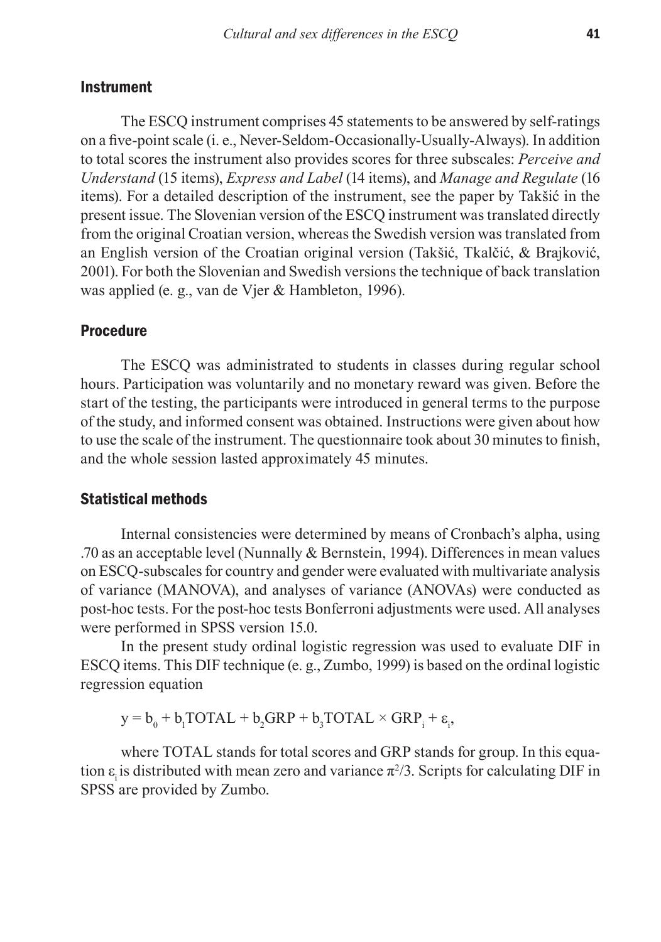### **Instrument**

The ESCQ instrument comprises 45 statements to be answered by self-ratings on a five-point scale (i. e., Never-Seldom-Occasionally-Usually-Always). In addition to total scores the instrument also provides scores for three subscales: *Perceive and Understand* (15 items), *Express and Label* (14 items), and *Manage and Regulate* (16 items). For a detailed description of the instrument, see the paper by Takšić in the present issue. The Slovenian version of the ESCQ instrument was translated directly from the original Croatian version, whereas the Swedish version was translated from an English version of the Croatian original version (Takšić, Tkalčić, & Brajković, 2001). For both the Slovenian and Swedish versions the technique of back translation was applied (e. g., van de Vjer & Hambleton, 1996).

### **Procedure**

The ESCQ was administrated to students in classes during regular school hours. Participation was voluntarily and no monetary reward was given. Before the start of the testing, the participants were introduced in general terms to the purpose of the study, and informed consent was obtained. Instructions were given about how to use the scale of the instrument. The questionnaire took about 30 minutes to finish, and the whole session lasted approximately 45 minutes.

#### Statistical methods

Internal consistencies were determined by means of Cronbach's alpha, using .70 as an acceptable level (Nunnally & Bernstein, 1994). Differences in mean values on ESCQ-subscales for country and gender were evaluated with multivariate analysis of variance (MANOVA), and analyses of variance (ANOVAs) were conducted as post-hoc tests. For the post-hoc tests Bonferroni adjustments were used. All analyses were performed in SPSS version 15.0.

In the present study ordinal logistic regression was used to evaluate DIF in ESCQ items. This DIF technique (e. g., Zumbo, 1999) is based on the ordinal logistic regression equation

 $y = b_0 + b_1 TOTAL + b_2 GRP + b_3 TOTAL \times GRP_i + \varepsilon_i$ 

where TOTAL stands for total scores and GRP stands for group. In this equation  $\varepsilon$ <sub>i</sub> is distributed with mean zero and variance  $\pi^2/3$ . Scripts for calculating DIF in SPSS are provided by Zumbo.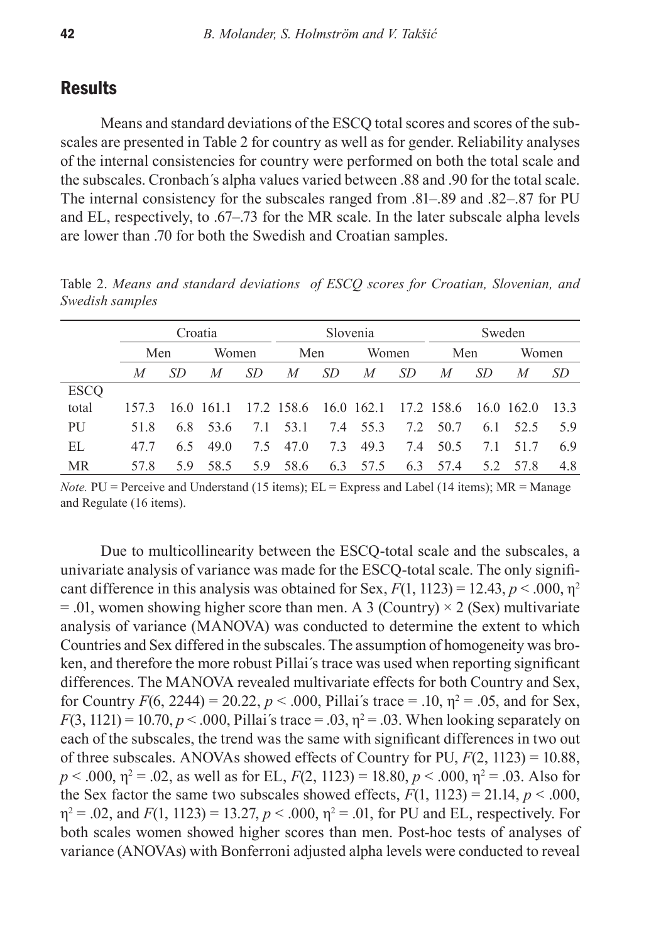## **Results**

Means and standard deviations of the ESCQ total scores and scores of the subscales are presented in Table 2 for country as well as for gender. Reliability analyses of the internal consistencies for country were performed on both the total scale and the subscales. Cronbach´s alpha values varied between .88 and .90 for the total scale. The internal consistency for the subscales ranged from .81–.89 and .82–.87 for PU and EL, respectively, to .67–.73 for the MR scale. In the later subscale alpha levels are lower than .70 for both the Swedish and Croatian samples.

|             |      | Croatia |              |     | Slovenia   |     |            | Sweden    |            |     |           |      |
|-------------|------|---------|--------------|-----|------------|-----|------------|-----------|------------|-----|-----------|------|
|             | Men  |         | Women        |     | Men        |     | Women      |           | Men        |     | Women     |      |
|             | M    | -SD     | M            | SD. | M          | SD  | M          | <i>SD</i> | M          | SD. | M         | SD   |
| <b>ESCO</b> |      |         |              |     |            |     |            |           |            |     |           |      |
| total       | 1573 |         | $16.0$ 161.1 |     | 17.2 158.6 |     | 16.0 162.1 |           | 17.2 158.6 |     | 16.0162.0 | 13.3 |
| PU          | 51.8 | 6.8     | 53.6         | 7.1 | 53.1       | 7.4 | 55.3       | 7.2       | 50.7       | 6.1 | 52.5      | 5.9  |
| EL.         | 477  | 65      | 49 Q         | 75  | 47.0       | 7.3 | 49.3       | 7.4       | 50.5       | 7.1 | 51.7      | 6.9  |
| MR          | 57.8 | 59      | 58.5         | 5.9 | 58.6       | 6.3 | 57.5       | 6.3       | 57.4       | 5.2 | 57.8      | 4.8  |

Table 2. *Means and standard deviations of ESCQ scores for Croatian, Slovenian, and Swedish samples*

*Note.*  $PU =$  Perceive and Understand (15 items);  $EL =$  Express and Label (14 items);  $MR =$  Manage and Regulate (16 items).

Due to multicollinearity between the ESCQ-total scale and the subscales, a univariate analysis of variance was made for the ESCQ-total scale. The only significant difference in this analysis was obtained for Sex,  $F(1, 1123) = 12.43$ ,  $p < .000$ ,  $\eta^2$  $= .01$ , women showing higher score than men. A 3 (Country)  $\times$  2 (Sex) multivariate analysis of variance (MANOVA) was conducted to determine the extent to which Countries and Sex differed in the subscales. The assumption of homogeneity was broken, and therefore the more robust Pillai´s trace was used when reporting significant differences. The MANOVA revealed multivariate effects for both Country and Sex, for Country  $F(6, 2244) = 20.22$ ,  $p < .000$ , Pillai's trace = .10,  $\eta^2 = .05$ , and for Sex,  $F(3, 1121) = 10.70, p < .000$ , Pillai's trace = .03,  $p^2 = .03$ . When looking separately on each of the subscales, the trend was the same with significant differences in two out of three subscales. ANOVAs showed effects of Country for PU, *F*(2, 1123) = 10.88,  $p < .000$ ,  $\eta^2 = .02$ , as well as for EL,  $F(2, 1123) = 18.80$ ,  $p < .000$ ,  $\eta^2 = .03$ . Also for the Sex factor the same two subscales showed effects,  $F(1, 1123) = 21.14$ ,  $p < .000$ ,  $\eta^2 = .02$ , and  $F(1, 1123) = 13.27, p < .000, \eta^2 = .01$ , for PU and EL, respectively. For both scales women showed higher scores than men. Post-hoc tests of analyses of variance (ANOVAs) with Bonferroni adjusted alpha levels were conducted to reveal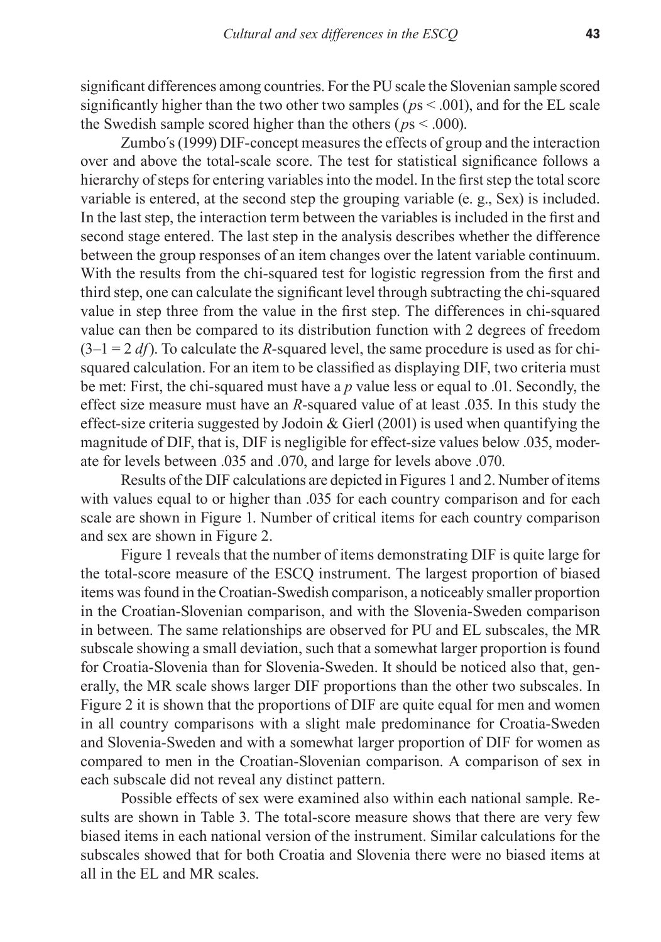significant differences among countries. For the PU scale the Slovenian sample scored significantly higher than the two other two samples (*p*s < .001), and for the EL scale the Swedish sample scored higher than the others ( $p_s$  < .000).

Zumbo´s (1999) DIF-concept measures the effects of group and the interaction over and above the total-scale score. The test for statistical significance follows a hierarchy of steps for entering variables into the model. In the first step the total score variable is entered, at the second step the grouping variable (e. g., Sex) is included. In the last step, the interaction term between the variables is included in the first and second stage entered. The last step in the analysis describes whether the difference between the group responses of an item changes over the latent variable continuum. With the results from the chi-squared test for logistic regression from the first and third step, one can calculate the significant level through subtracting the chi-squared value in step three from the value in the first step. The differences in chi-squared value can then be compared to its distribution function with 2 degrees of freedom  $(3-1 = 2 df)$ . To calculate the *R*-squared level, the same procedure is used as for chisquared calculation. For an item to be classified as displaying DIF, two criteria must be met: First, the chi-squared must have a *p* value less or equal to .01. Secondly, the effect size measure must have an *R*-squared value of at least .035. In this study the effect-size criteria suggested by Jodoin & Gierl (2001) is used when quantifying the magnitude of DIF, that is, DIF is negligible for effect-size values below .035, moderate for levels between .035 and .070, and large for levels above .070.

Results of the DIF calculations are depicted in Figures 1 and 2. Number of items with values equal to or higher than .035 for each country comparison and for each scale are shown in Figure 1. Number of critical items for each country comparison and sex are shown in Figure 2.

Figure 1 reveals that the number of items demonstrating DIF is quite large for the total-score measure of the ESCQ instrument. The largest proportion of biased items was found in the Croatian-Swedish comparison, a noticeably smaller proportion in the Croatian-Slovenian comparison, and with the Slovenia-Sweden comparison in between. The same relationships are observed for PU and EL subscales, the MR subscale showing a small deviation, such that a somewhat larger proportion is found for Croatia-Slovenia than for Slovenia-Sweden. It should be noticed also that, generally, the MR scale shows larger DIF proportions than the other two subscales. In Figure 2 it is shown that the proportions of DIF are quite equal for men and women in all country comparisons with a slight male predominance for Croatia-Sweden and Slovenia-Sweden and with a somewhat larger proportion of DIF for women as compared to men in the Croatian-Slovenian comparison. A comparison of sex in each subscale did not reveal any distinct pattern.

Possible effects of sex were examined also within each national sample. Results are shown in Table 3. The total-score measure shows that there are very few biased items in each national version of the instrument. Similar calculations for the subscales showed that for both Croatia and Slovenia there were no biased items at all in the EL and MR scales.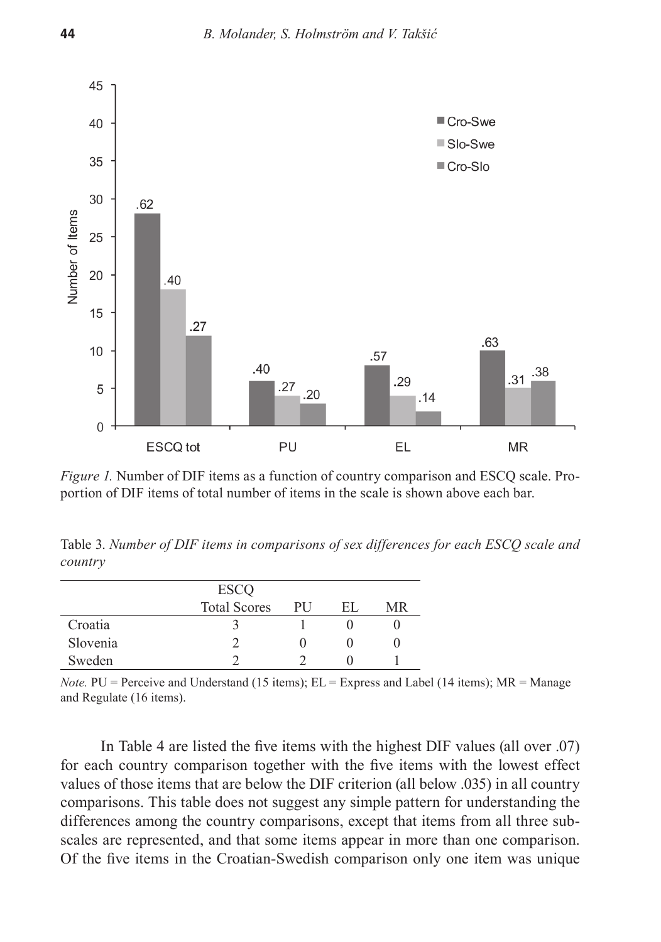

*Figure 1.* Number of DIF items as a function of country comparison and ESCQ scale. Proportion of DIF items of total number of items in the scale is shown above each bar.

Table 3. *Number of DIF items in comparisons of sex differences for each ESCQ scale and country* 

|          | <b>ESCO</b>         |    |     |    |
|----------|---------------------|----|-----|----|
|          | <b>Total Scores</b> | PU | EL. | MR |
| Croatia  |                     |    |     |    |
| Slovenia |                     |    |     |    |
| Sweden   |                     |    |     |    |

*Note.*  $PU =$  Perceive and Understand (15 items);  $EL =$  Express and Label (14 items);  $MR =$  Manage and Regulate (16 items).

In Table 4 are listed the five items with the highest DIF values (all over .07) for each country comparison together with the five items with the lowest effect values of those items that are below the DIF criterion (all below .035) in all country comparisons. This table does not suggest any simple pattern for understanding the differences among the country comparisons, except that items from all three subscales are represented, and that some items appear in more than one comparison. Of the five items in the Croatian-Swedish comparison only one item was unique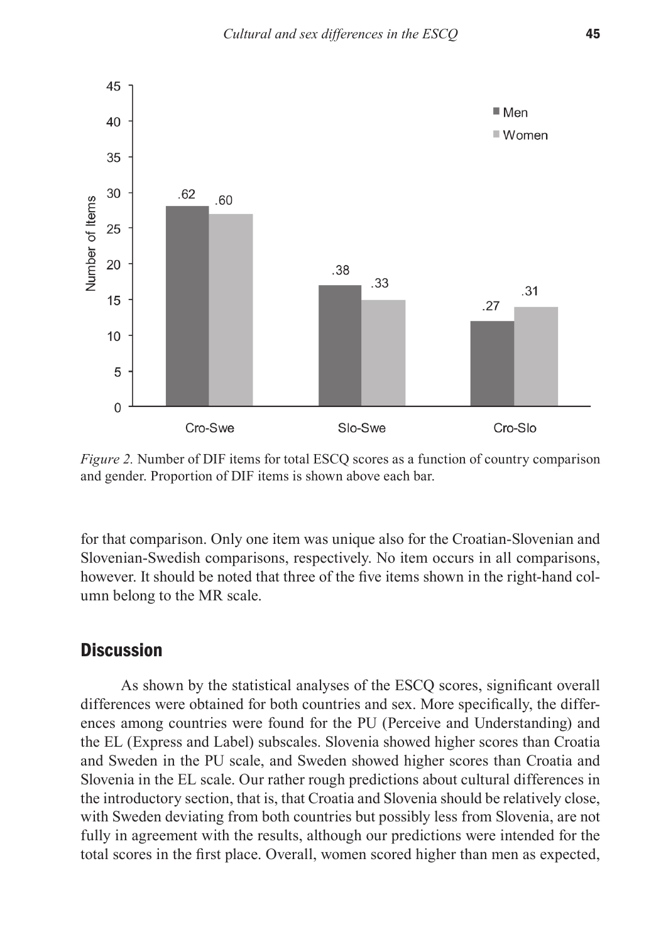

*Figure 2.* Number of DIF items for total ESCQ scores as a function of country comparison and gender. Proportion of DIF items is shown above each bar.

for that comparison. Only one item was unique also for the Croatian-Slovenian and Slovenian-Swedish comparisons, respectively. No item occurs in all comparisons, however. It should be noted that three of the five items shown in the right-hand column belong to the MR scale.

## **Discussion**

As shown by the statistical analyses of the ESCQ scores, significant overall differences were obtained for both countries and sex. More specifically, the differences among countries were found for the PU (Perceive and Understanding) and the EL (Express and Label) subscales. Slovenia showed higher scores than Croatia and Sweden in the PU scale, and Sweden showed higher scores than Croatia and Slovenia in the EL scale. Our rather rough predictions about cultural differences in the introductory section, that is, that Croatia and Slovenia should be relatively close, with Sweden deviating from both countries but possibly less from Slovenia, are not fully in agreement with the results, although our predictions were intended for the total scores in the first place. Overall, women scored higher than men as expected,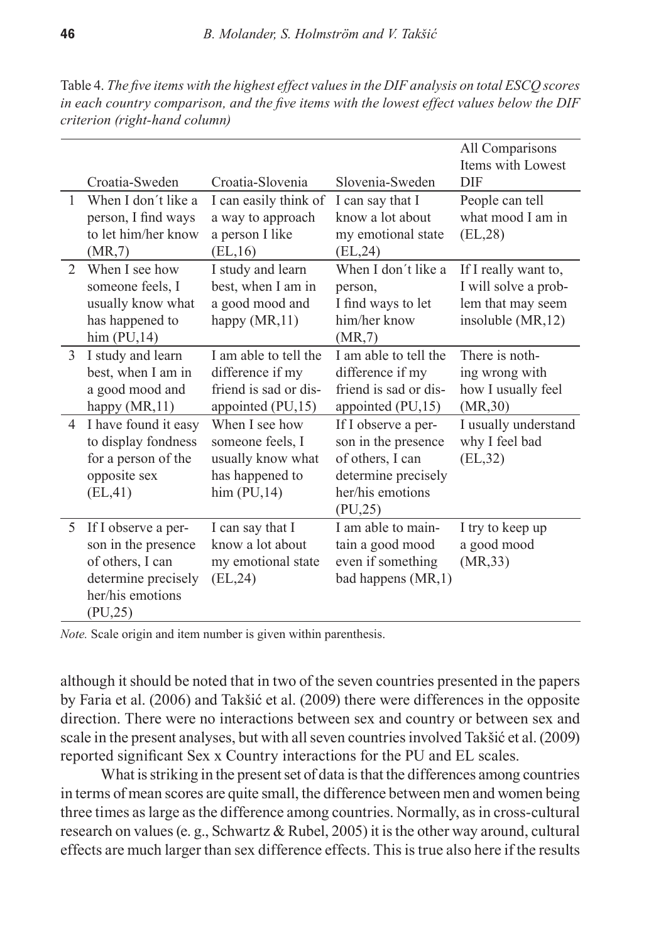Croatia-Sweden Croatia-Slovenia Slovenia-Sweden All Comparisons Items with Lowest DIF 1 When I don´t like a person, I find ways to let him/her know (MR,7) I can easily think of a way to approach a person I like (EL,16) I can say that I know a lot about my emotional state (EL,24) People can tell what mood I am in (EL,28) 2 When I see how someone feels, I usually know what has happened to him (PU,14) I study and learn best, when I am in a good mood and happy (MR,11) When I don´t like a person, I find ways to let him/her know (MR,7) If I really want to, I will solve a problem that may seem insoluble (MR,12) 3 I study and learn best, when I am in a good mood and happy (MR, 11) I am able to tell the difference if my friend is sad or disappointed (PU,15) I am able to tell the difference if my friend is sad or disappointed (PU,15) There is nothing wrong with how I usually feel (MR,30) 4 I have found it easy to display fondness for a person of the opposite sex (EL,41) When I see how someone feels, I usually know what has happened to him  $(PU,14)$ If I observe a person in the presence of others, I can determine precisely her/his emotions (PU,25) I usually understand why I feel bad (EL,32) 5 If I observe a person in the presence of others, I can determine precisely her/his emotions I can say that I know a lot about my emotional state (EL,24) I am able to maintain a good mood even if something bad happens (MR,1) I try to keep up a good mood (MR,33)

Table 4. *The five items with the highest effect values in the DIF analysis on total ESCQ scores in each country comparison, and the five items with the lowest effect values below the DIF criterion (right-hand column)* 

*Note.* Scale origin and item number is given within parenthesis.

(PU,25)

although it should be noted that in two of the seven countries presented in the papers by Faria et al. (2006) and Takšić et al. (2009) there were differences in the opposite direction. There were no interactions between sex and country or between sex and scale in the present analyses, but with all seven countries involved Takšić et al. (2009) reported significant Sex x Country interactions for the PU and EL scales.

What is striking in the present set of data is that the differences among countries in terms of mean scores are quite small, the difference between men and women being three times as large as the difference among countries. Normally, as in cross-cultural research on values (e. g., Schwartz & Rubel, 2005) it is the other way around, cultural effects are much larger than sex difference effects. This is true also here if the results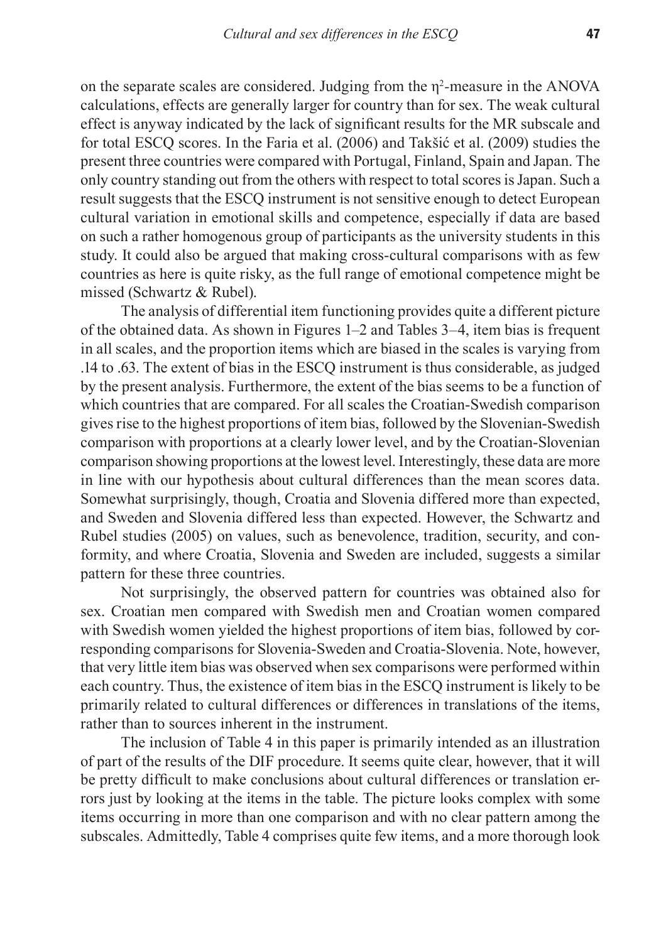on the separate scales are considered. Judging from the η<sup>2</sup> *-*measure in the ANOVA calculations, effects are generally larger for country than for sex. The weak cultural effect is anyway indicated by the lack of significant results for the MR subscale and for total ESCQ scores. In the Faria et al. (2006) and Takšić et al. (2009) studies the present three countries were compared with Portugal, Finland, Spain and Japan. The only country standing out from the others with respect to total scores is Japan. Such a result suggests that the ESCQ instrument is not sensitive enough to detect European cultural variation in emotional skills and competence, especially if data are based on such a rather homogenous group of participants as the university students in this study. It could also be argued that making cross-cultural comparisons with as few countries as here is quite risky, as the full range of emotional competence might be missed (Schwartz & Rubel).

The analysis of differential item functioning provides quite a different picture of the obtained data. As shown in Figures 1–2 and Tables 3–4, item bias is frequent in all scales, and the proportion items which are biased in the scales is varying from .14 to .63. The extent of bias in the ESCQ instrument is thus considerable, as judged by the present analysis. Furthermore, the extent of the bias seems to be a function of which countries that are compared. For all scales the Croatian-Swedish comparison gives rise to the highest proportions of item bias, followed by the Slovenian-Swedish comparison with proportions at a clearly lower level, and by the Croatian-Slovenian comparison showing proportions at the lowest level. Interestingly, these data are more in line with our hypothesis about cultural differences than the mean scores data. Somewhat surprisingly, though, Croatia and Slovenia differed more than expected, and Sweden and Slovenia differed less than expected. However, the Schwartz and Rubel studies (2005) on values, such as benevolence, tradition, security, and conformity, and where Croatia, Slovenia and Sweden are included, suggests a similar pattern for these three countries.

Not surprisingly, the observed pattern for countries was obtained also for sex. Croatian men compared with Swedish men and Croatian women compared with Swedish women yielded the highest proportions of item bias, followed by corresponding comparisons for Slovenia-Sweden and Croatia-Slovenia. Note, however, that very little item bias was observed when sex comparisons were performed within each country. Thus, the existence of item bias in the ESCQ instrument is likely to be primarily related to cultural differences or differences in translations of the items, rather than to sources inherent in the instrument.

The inclusion of Table 4 in this paper is primarily intended as an illustration of part of the results of the DIF procedure. It seems quite clear, however, that it will be pretty difficult to make conclusions about cultural differences or translation errors just by looking at the items in the table. The picture looks complex with some items occurring in more than one comparison and with no clear pattern among the subscales. Admittedly, Table 4 comprises quite few items, and a more thorough look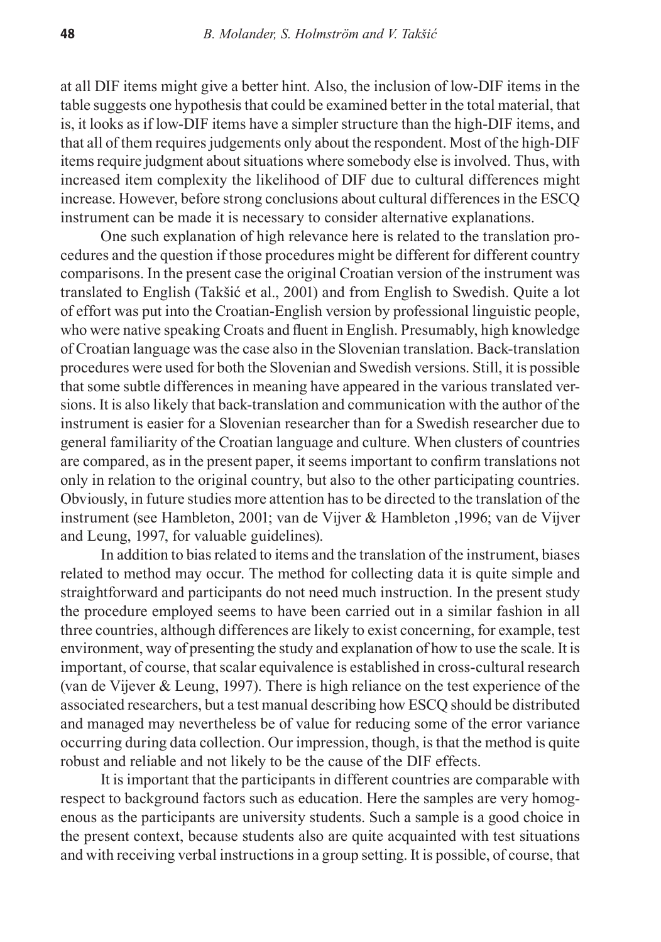at all DIF items might give a better hint. Also, the inclusion of low-DIF items in the table suggests one hypothesis that could be examined better in the total material, that is, it looks as if low-DIF items have a simpler structure than the high-DIF items, and that all of them requires judgements only about the respondent. Most of the high-DIF items require judgment about situations where somebody else is involved. Thus, with increased item complexity the likelihood of DIF due to cultural differences might increase. However, before strong conclusions about cultural differences in the ESCQ instrument can be made it is necessary to consider alternative explanations.

One such explanation of high relevance here is related to the translation procedures and the question if those procedures might be different for different country comparisons. In the present case the original Croatian version of the instrument was translated to English (Takšić et al., 2001) and from English to Swedish. Quite a lot of effort was put into the Croatian-English version by professional linguistic people, who were native speaking Croats and fluent in English. Presumably, high knowledge of Croatian language was the case also in the Slovenian translation. Back-translation procedures were used for both the Slovenian and Swedish versions. Still, it is possible that some subtle differences in meaning have appeared in the various translated versions. It is also likely that back-translation and communication with the author of the instrument is easier for a Slovenian researcher than for a Swedish researcher due to general familiarity of the Croatian language and culture. When clusters of countries are compared, as in the present paper, it seems important to confirm translations not only in relation to the original country, but also to the other participating countries. Obviously, in future studies more attention has to be directed to the translation of the instrument (see Hambleton, 2001; van de Vijver & Hambleton ,1996; van de Vijver and Leung, 1997, for valuable guidelines).

In addition to bias related to items and the translation of the instrument, biases related to method may occur. The method for collecting data it is quite simple and straightforward and participants do not need much instruction. In the present study the procedure employed seems to have been carried out in a similar fashion in all three countries, although differences are likely to exist concerning, for example, test environment, way of presenting the study and explanation of how to use the scale. It is important, of course, that scalar equivalence is established in cross-cultural research (van de Vijever & Leung, 1997). There is high reliance on the test experience of the associated researchers, but a test manual describing how ESCQ should be distributed and managed may nevertheless be of value for reducing some of the error variance occurring during data collection. Our impression, though, is that the method is quite robust and reliable and not likely to be the cause of the DIF effects.

It is important that the participants in different countries are comparable with respect to background factors such as education. Here the samples are very homogenous as the participants are university students. Such a sample is a good choice in the present context, because students also are quite acquainted with test situations and with receiving verbal instructions in a group setting. It is possible, of course, that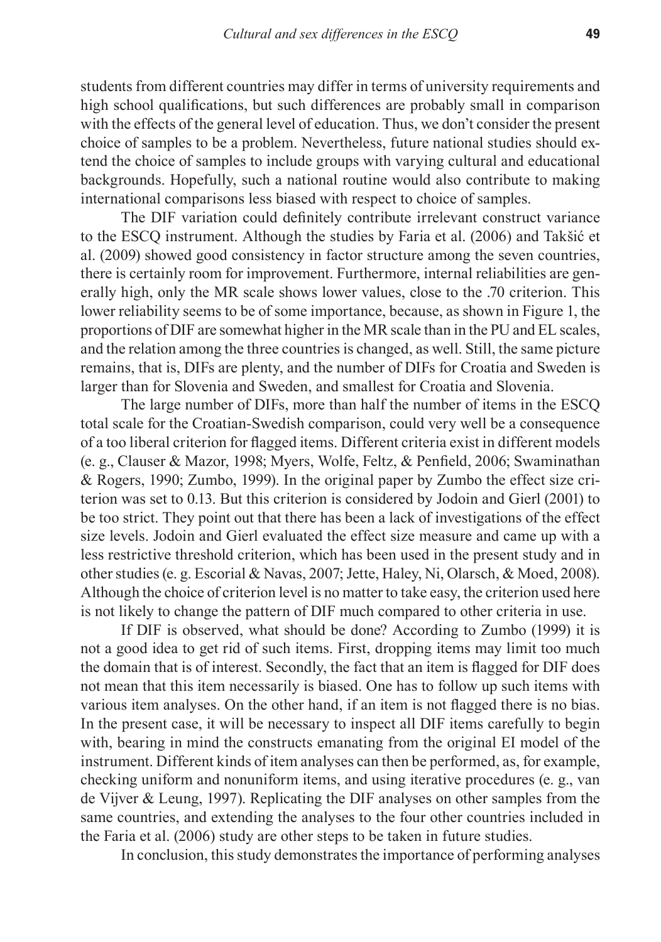students from different countries may differ in terms of university requirements and high school qualifications, but such differences are probably small in comparison with the effects of the general level of education. Thus, we don't consider the present choice of samples to be a problem. Nevertheless, future national studies should extend the choice of samples to include groups with varying cultural and educational backgrounds. Hopefully, such a national routine would also contribute to making international comparisons less biased with respect to choice of samples.

The DIF variation could definitely contribute irrelevant construct variance to the ESCQ instrument. Although the studies by Faria et al. (2006) and Takšić et al. (2009) showed good consistency in factor structure among the seven countries, there is certainly room for improvement. Furthermore, internal reliabilities are generally high, only the MR scale shows lower values, close to the .70 criterion. This lower reliability seems to be of some importance, because, as shown in Figure 1, the proportions of DIF are somewhat higher in the MR scale than in the PU and EL scales, and the relation among the three countries is changed, as well. Still, the same picture remains, that is, DIFs are plenty, and the number of DIFs for Croatia and Sweden is larger than for Slovenia and Sweden, and smallest for Croatia and Slovenia.

The large number of DIFs, more than half the number of items in the ESCQ total scale for the Croatian-Swedish comparison, could very well be a consequence of a too liberal criterion for flagged items. Different criteria exist in different models (e. g., Clauser & Mazor, 1998; Myers, Wolfe, Feltz, & Penfield, 2006; Swaminathan & Rogers, 1990; Zumbo, 1999). In the original paper by Zumbo the effect size criterion was set to 0.13. But this criterion is considered by Jodoin and Gierl (2001) to be too strict. They point out that there has been a lack of investigations of the effect size levels. Jodoin and Gierl evaluated the effect size measure and came up with a less restrictive threshold criterion, which has been used in the present study and in other studies (e. g. Escorial & Navas, 2007; Jette, Haley, Ni, Olarsch, & Moed, 2008). Although the choice of criterion level is no matter to take easy, the criterion used here is not likely to change the pattern of DIF much compared to other criteria in use.

If DIF is observed, what should be done? According to Zumbo (1999) it is not a good idea to get rid of such items. First, dropping items may limit too much the domain that is of interest. Secondly, the fact that an item is flagged for DIF does not mean that this item necessarily is biased. One has to follow up such items with various item analyses. On the other hand, if an item is not flagged there is no bias. In the present case, it will be necessary to inspect all DIF items carefully to begin with, bearing in mind the constructs emanating from the original EI model of the instrument. Different kinds of item analyses can then be performed, as, for example, checking uniform and nonuniform items, and using iterative procedures (e. g., van de Vijver & Leung, 1997). Replicating the DIF analyses on other samples from the same countries, and extending the analyses to the four other countries included in the Faria et al. (2006) study are other steps to be taken in future studies.

In conclusion, this study demonstrates the importance of performing analyses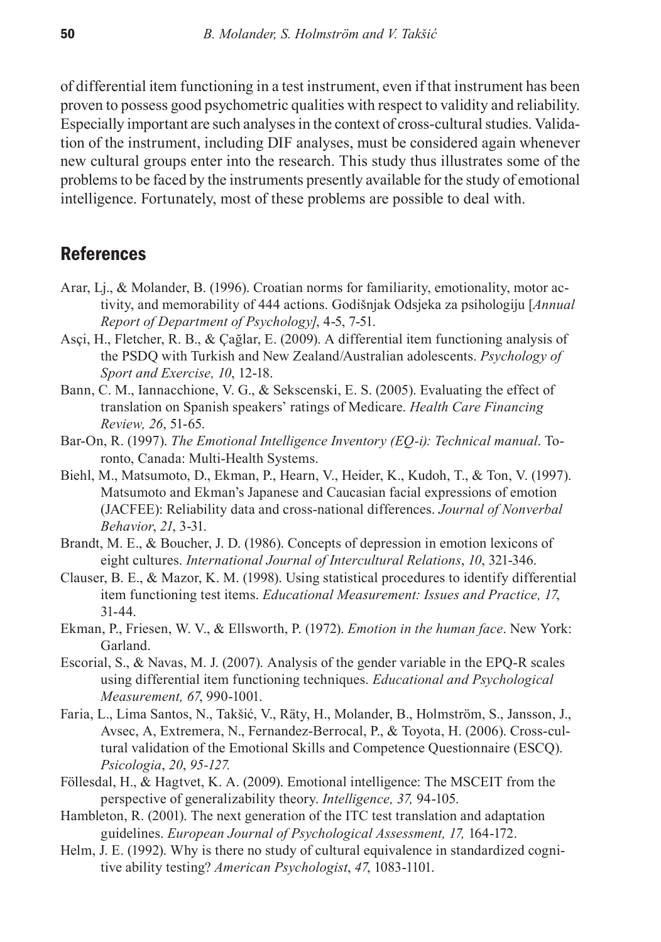of differential item functioning in a test instrument, even if that instrument has been proven to possess good psychometric qualities with respect to validity and reliability. Especially important are such analyses in the context of cross-cultural studies. Validation of the instrument, including DIF analyses, must be considered again whenever new cultural groups enter into the research. This study thus illustrates some of the problems to be faced by the instruments presently available for the study of emotional intelligence. Fortunately, most of these problems are possible to deal with.

## **References**

- Arar, Lj., & Molander, B. (1996). Croatian norms for familiarity, emotionality, motor activity, and memorability of 444 actions. Godišnjak Odsjeka za psihologiju [*Annual Report of Department of Psychology]*, 4-5, 7-51.
- Asçi, H., Fletcher, R. B., & Çağlar, E. (2009). A differential item functioning analysis of the PSDQ with Turkish and New Zealand/Australian adolescents. *Psychology of Sport and Exercise, 10*, 12-18.
- Bann, C. M., Iannacchione, V. G., & Sekscenski, E. S. (2005). Evaluating the effect of translation on Spanish speakers' ratings of Medicare. *Health Care Financing Review, 26*, 51-65.
- Bar-On, R. (1997). *The Emotional Intelligence Inventory (EQ-i): Technical manual*. Toronto, Canada: Multi-Health Systems.
- Biehl, M., Matsumoto, D., Ekman, P., Hearn, V., Heider, K., Kudoh, T., & Ton, V. (1997). Matsumoto and Ekman's Japanese and Caucasian facial expressions of emotion (JACFEE): Reliability data and cross-national differences. *Journal of Nonverbal Behavior*, *21*, 3-31.
- Brandt, M. E., & Boucher, J. D. (1986). Concepts of depression in emotion lexicons of eight cultures. *International Journal of Intercultural Relations*, *10*, 321-346.
- Clauser, B. E., & Mazor, K. M. (1998). Using statistical procedures to identify differential item functioning test items. *Educational Measurement: Issues and Practice, 17*, 31-44.
- Ekman, P., Friesen, W. V., & Ellsworth, P. (1972). *Emotion in the human face*. New York: Garland.
- Escorial, S., & Navas, M. J. (2007). Analysis of the gender variable in the EPQ-R scales using differential item functioning techniques. *Educational and Psychological Measurement, 67*, 990-1001.
- Faria, L., Lima Santos, N., Takšić, V., Räty, H., Molander, B., Holmström, S., Jansson, J., Avsec, A, Extremera, N., Fernandez-Berrocal, P., & Toyota, H. (2006). Cross-cultural validation of the Emotional Skills and Competence Questionnaire (ESCQ). *Psicologia*, *20*, *95-127.*
- Föllesdal, H., & Hagtvet, K. A. (2009). Emotional intelligence: The MSCEIT from the perspective of generalizability theory. *Intelligence, 37,* 94-105.
- Hambleton, R. (2001). The next generation of the ITC test translation and adaptation guidelines. *European Journal of Psychological Assessment, 17,* 164-172.
- Helm, J. E. (1992). Why is there no study of cultural equivalence in standardized cognitive ability testing? *American Psychologist*, *47*, 1083-1101.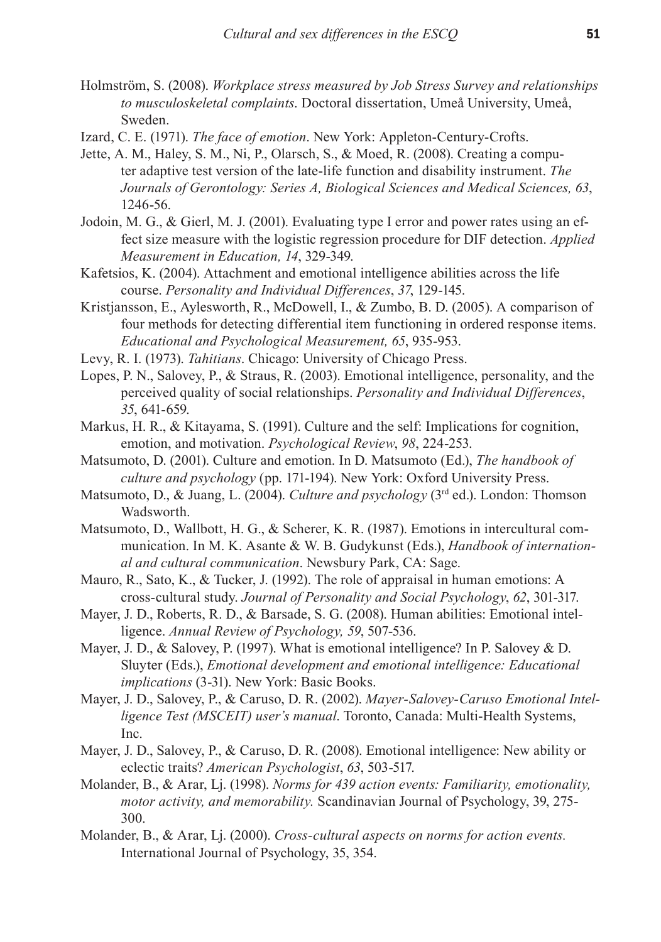- Holmström, S. (2008). *Workplace stress measured by Job Stress Survey and relationships to musculoskeletal complaints*. Doctoral dissertation, Umeå University, Umeå, Sweden.
- Izard, C. E. (1971). *The face of emotion*. New York: Appleton-Century-Crofts.
- Jette, A. M., Haley, S. M., Ni, P., Olarsch, S., & Moed, R. (2008). Creating a computer adaptive test version of the late-life function and disability instrument. *The Journals of Gerontology: Series A, Biological Sciences and Medical Sciences, 63*, 1246-56.
- Jodoin, M. G., & Gierl, M. J. (2001). Evaluating type I error and power rates using an effect size measure with the logistic regression procedure for DIF detection. *Applied Measurement in Education, 14*, 329-349.
- Kafetsios, K. (2004). Attachment and emotional intelligence abilities across the life course. *Personality and Individual Differences*, *37*, 129-145.
- Kristjansson, E., Aylesworth, R., McDowell, I., & Zumbo, B. D. (2005). A comparison of four methods for detecting differential item functioning in ordered response items. *Educational and Psychological Measurement, 65*, 935-953.
- Levy, R. I. (1973). *Tahitians*. Chicago: University of Chicago Press.
- Lopes, P. N., Salovey, P., & Straus, R. (2003). Emotional intelligence, personality, and the perceived quality of social relationships. *Personality and Individual Differences*, *35*, 641-659.
- Markus, H. R., & Kitayama, S. (1991). Culture and the self: Implications for cognition, emotion, and motivation. *Psychological Review*, *98*, 224-253.
- Matsumoto, D. (2001). Culture and emotion. In D. Matsumoto (Ed.), *The handbook of culture and psychology* (pp. 171-194). New York: Oxford University Press.
- Matsumoto, D., & Juang, L. (2004). *Culture and psychology* (3<sup>rd</sup> ed.). London: Thomson Wadsworth.
- Matsumoto, D., Wallbott, H. G., & Scherer, K. R. (1987). Emotions in intercultural communication. In M. K. Asante & W. B. Gudykunst (Eds.), *Handbook of international and cultural communication*. Newsbury Park, CA: Sage.
- Mauro, R., Sato, K., & Tucker, J. (1992). The role of appraisal in human emotions: A cross-cultural study. *Journal of Personality and Social Psychology*, *62*, 301-317.
- Mayer, J. D., Roberts, R. D., & Barsade, S. G. (2008). Human abilities: Emotional intelligence. *Annual Review of Psychology, 59*, 507-536.
- Mayer, J. D., & Salovey, P. (1997). What is emotional intelligence? In P. Salovey & D. Sluyter (Eds.), *Emotional development and emotional intelligence: Educational implications* (3-31). New York: Basic Books.
- Mayer, J. D., Salovey, P., & Caruso, D. R. (2002). *Mayer-Salovey-Caruso Emotional Intelligence Test (MSCEIT) user's manual*. Toronto, Canada: Multi-Health Systems, Inc.
- Mayer, J. D., Salovey, P., & Caruso, D. R. (2008). Emotional intelligence: New ability or eclectic traits? *American Psychologist*, *63*, 503-517.
- Molander, B., & Arar, Lj. (1998). *Norms for 439 action events: Familiarity, emotionality, motor activity, and memorability.* Scandinavian Journal of Psychology, 39, 275- 300.
- Molander, B., & Arar, Lj. (2000). *Cross-cultural aspects on norms for action events.* International Journal of Psychology, 35, 354.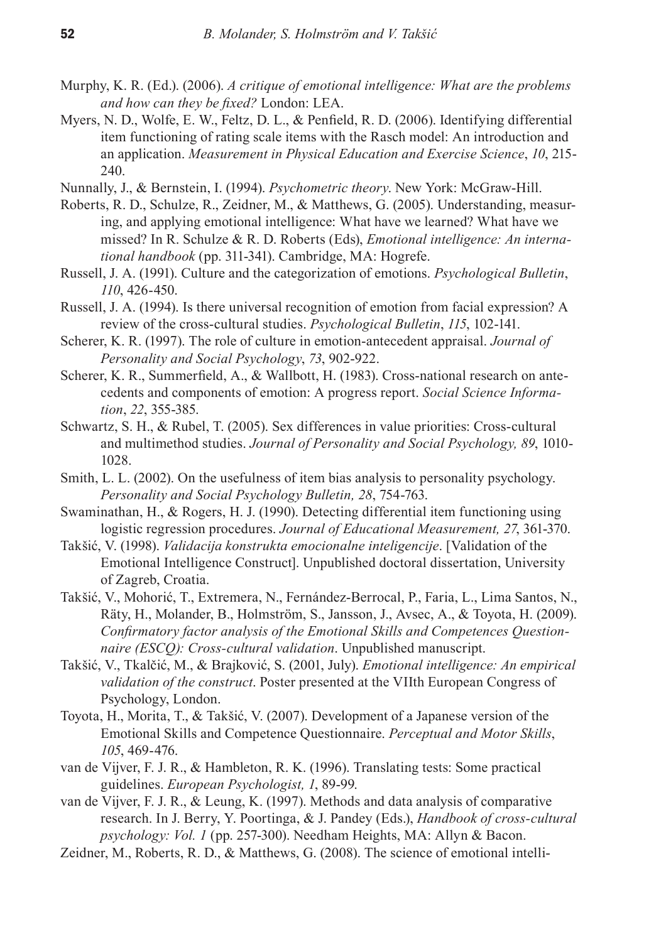- Murphy, K. R. (Ed.). (2006). *A critique of emotional intelligence: What are the problems and how can they be fixed?* London: LEA.
- Myers, N. D., Wolfe, E. W., Feltz, D. L., & Penfield, R. D. (2006). Identifying differential item functioning of rating scale items with the Rasch model: An introduction and an application. *Measurement in Physical Education and Exercise Science*, *10*, 215- 240.
- Nunnally, J., & Bernstein, I. (1994). *Psychometric theory*. New York: McGraw-Hill.
- Roberts, R. D., Schulze, R., Zeidner, M., & Matthews, G. (2005). Understanding, measuring, and applying emotional intelligence: What have we learned? What have we missed? In R. Schulze & R. D. Roberts (Eds), *Emotional intelligence: An international handbook* (pp. 311-341). Cambridge, MA: Hogrefe.
- Russell, J. A. (1991). Culture and the categorization of emotions. *Psychological Bulletin*, *110*, 426-450.
- Russell, J. A. (1994). Is there universal recognition of emotion from facial expression? A review of the cross-cultural studies. *Psychological Bulletin*, *115*, 102-141.
- Scherer, K. R. (1997). The role of culture in emotion-antecedent appraisal. *Journal of Personality and Social Psychology*, *73*, 902-922.
- Scherer, K. R., Summerfield, A., & Wallbott, H. (1983). Cross-national research on antecedents and components of emotion: A progress report. *Social Science Information*, *22*, 355-385.
- Schwartz, S. H., & Rubel, T. (2005). Sex differences in value priorities: Cross-cultural and multimethod studies. *Journal of Personality and Social Psychology, 89*, 1010- 1028.
- Smith, L. L. (2002). On the usefulness of item bias analysis to personality psychology. *Personality and Social Psychology Bulletin, 28*, 754-763.
- Swaminathan, H., & Rogers, H. J. (1990). Detecting differential item functioning using logistic regression procedures. *Journal of Educational Measurement, 27*, 361-370.
- Takšić, V. (1998). *Validacija konstrukta emocionalne inteligencije*. [Validation of the Emotional Intelligence Construct]. Unpublished doctoral dissertation, University of Zagreb, Croatia.
- Takšić, V., Mohorić, T., Extremera, N., Fernández-Berrocal, P., Faria, L., Lima Santos, N., Räty, H., Molander, B., Holmström, S., Jansson, J., Avsec, A., & Toyota, H. (2009). *Confirmatory factor analysis of the Emotional Skills and Competences Questionnaire (ESCQ): Cross-cultural validation*. Unpublished manuscript.
- Takšić, V., Tkalčić, M., & Brajković, S. (2001, July). *Emotional intelligence: An empirical validation of the construct*. Poster presented at the VIIth European Congress of Psychology, London.
- Toyota, H., Morita, T., & Takšić, V. (2007). Development of a Japanese version of the Emotional Skills and Competence Questionnaire. *Perceptual and Motor Skills*, *105*, 469-476.
- van de Vijver, F. J. R., & Hambleton, R. K. (1996). Translating tests: Some practical guidelines. *European Psychologist, 1*, 89-99.
- van de Vijver, F. J. R., & Leung, K. (1997). Methods and data analysis of comparative research. In J. Berry, Y. Poortinga, & J. Pandey (Eds.), *Handbook of cross-cultural psychology: Vol. 1* (pp. 257-300). Needham Heights, MA: Allyn & Bacon.
- Zeidner, M., Roberts, R. D., & Matthews, G. (2008). The science of emotional intelli-